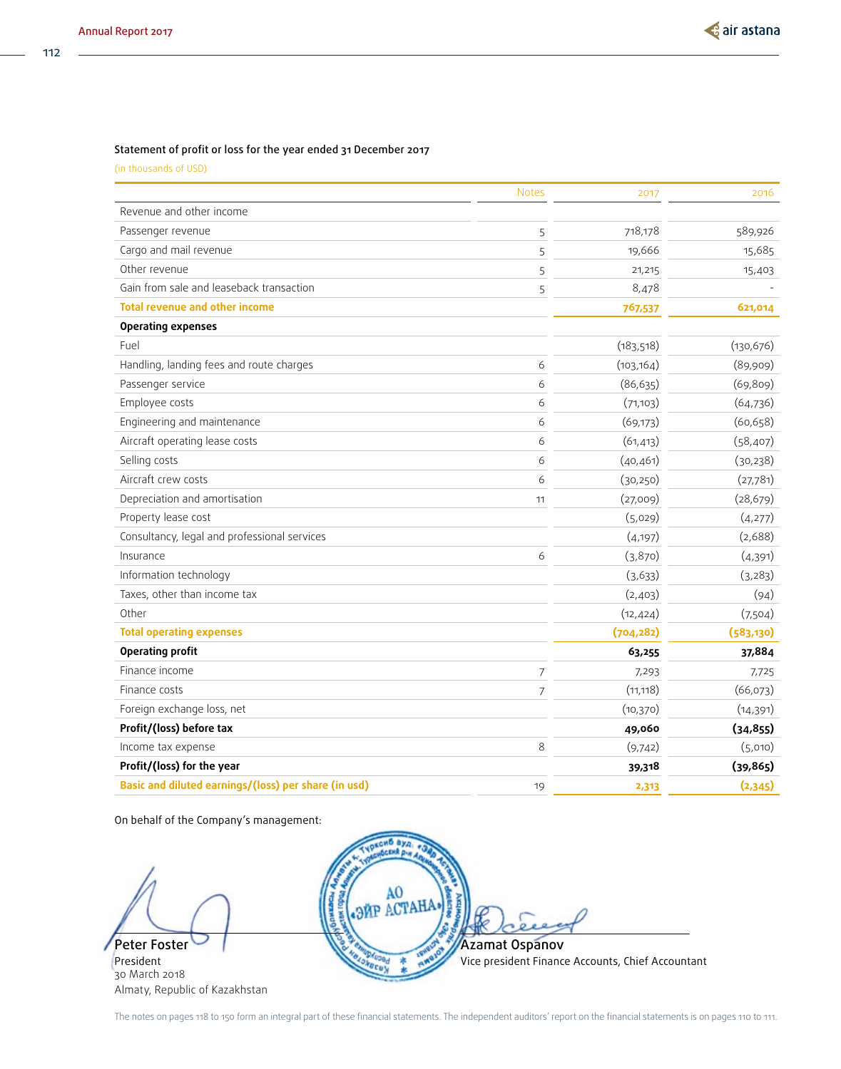#### Statement of profit or loss for the year ended 31 December 2017

(in thousands of USD)

|                                                      | <b>Notes</b>   | 2017       | 2016       |
|------------------------------------------------------|----------------|------------|------------|
| Revenue and other income                             |                |            |            |
| Passenger revenue                                    | 5              | 718,178    | 589,926    |
| Cargo and mail revenue                               | 5              | 19,666     | 15,685     |
| Other revenue                                        | 5              | 21,215     | 15,403     |
| Gain from sale and leaseback transaction             | 5              | 8,478      |            |
| <b>Total revenue and other income</b>                |                | 767,537    | 621,014    |
| <b>Operating expenses</b>                            |                |            |            |
| Fuel                                                 |                | (183, 518) | (130, 676) |
| Handling, landing fees and route charges             | 6              | (103, 164) | (89,909)   |
| Passenger service                                    | 6              | (86, 635)  | (69, 809)  |
| Employee costs                                       | 6              | (71, 103)  | (64, 736)  |
| Engineering and maintenance                          | 6              | (69, 173)  | (60, 658)  |
| Aircraft operating lease costs                       | 6              | (61, 413)  | (58, 407)  |
| Selling costs                                        | 6              | (40, 461)  | (30, 238)  |
| Aircraft crew costs                                  | 6              | (30, 250)  | (27,781)   |
| Depreciation and amortisation                        | 11             | (27,009)   | (28, 679)  |
| Property lease cost                                  |                | (5,029)    | (4,277)    |
| Consultancy, legal and professional services         |                | (4, 197)   | (2,688)    |
| Insurance                                            | 6              | (3,870)    | (4,391)    |
| Information technology                               |                | (3,633)    | (3, 283)   |
| Taxes, other than income tax                         |                | (2,403)    | (94)       |
| Other                                                |                | (12, 424)  | (7,504)    |
| <b>Total operating expenses</b>                      |                | (704, 282) | (583, 130) |
| <b>Operating profit</b>                              |                | 63,255     | 37,884     |
| Finance income                                       | 7              | 7,293      | 7,725      |
| Finance costs                                        | $\overline{7}$ | (11, 118)  | (66,073)   |
| Foreign exchange loss, net                           |                | (10, 370)  | (14, 391)  |
| Profit/(loss) before tax                             |                | 49,060     | (34, 855)  |
| Income tax expense                                   | 8              | (9,742)    | (5,010)    |
| Profit/(loss) for the year                           |                | 39,318     | (39, 865)  |
| Basic and diluted earnings/(loss) per share (in usd) | 19             | 2,313      | (2,345)    |

On behalf of the Company's management:

Peter Foster

President 30 March 2018 Almaty, Republic of Kazakhstan



The notes on pages 118 to 150 form an integral part of these financial statements. The independent auditors' report on the financial statements is on pages 110 to 111.

112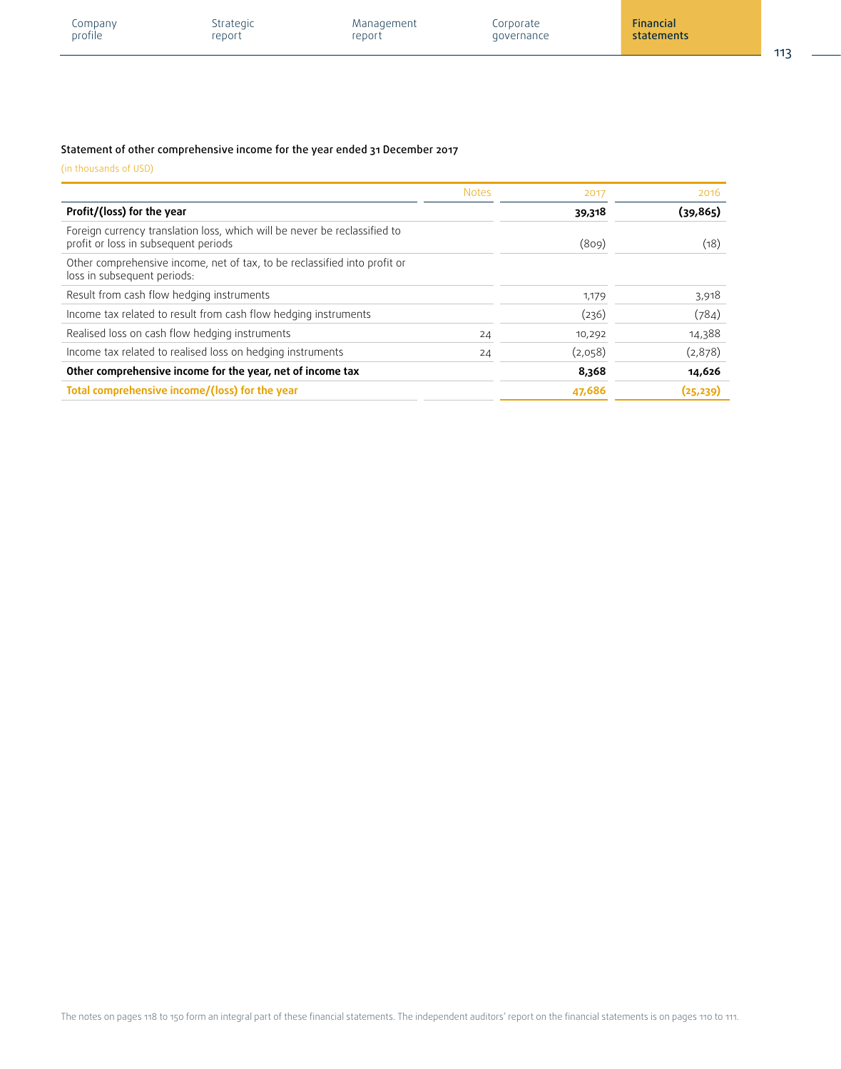| Company | Strategic | Management | Corporate  | Financial               |        |
|---------|-----------|------------|------------|-------------------------|--------|
| profile | report    | report     | governance | statements <sup>1</sup> |        |
|         |           |            |            |                         | $\sim$ |

### Statement of other comprehensive income for the year ended 31 December 2017

|                                                                                                                   | <b>Notes</b> | 2017    | 2016      |
|-------------------------------------------------------------------------------------------------------------------|--------------|---------|-----------|
| Profit/(loss) for the year                                                                                        |              | 39,318  | (39,865)  |
| Foreign currency translation loss, which will be never be reclassified to<br>profit or loss in subsequent periods |              | (809)   | (18)      |
| Other comprehensive income, net of tax, to be reclassified into profit or<br>loss in subsequent periods:          |              |         |           |
| Result from cash flow hedging instruments                                                                         |              | 1,179   | 3,918     |
| Income tax related to result from cash flow hedging instruments                                                   |              | (236)   | (784)     |
| Realised loss on cash flow hedging instruments                                                                    | 24           | 10,292  | 14,388    |
| Income tax related to realised loss on hedging instruments                                                        | 24           | (2,058) | (2,878)   |
| Other comprehensive income for the year, net of income tax                                                        |              | 8,368   | 14,626    |
| Total comprehensive income/(loss) for the year                                                                    |              | 47,686  | (25, 239) |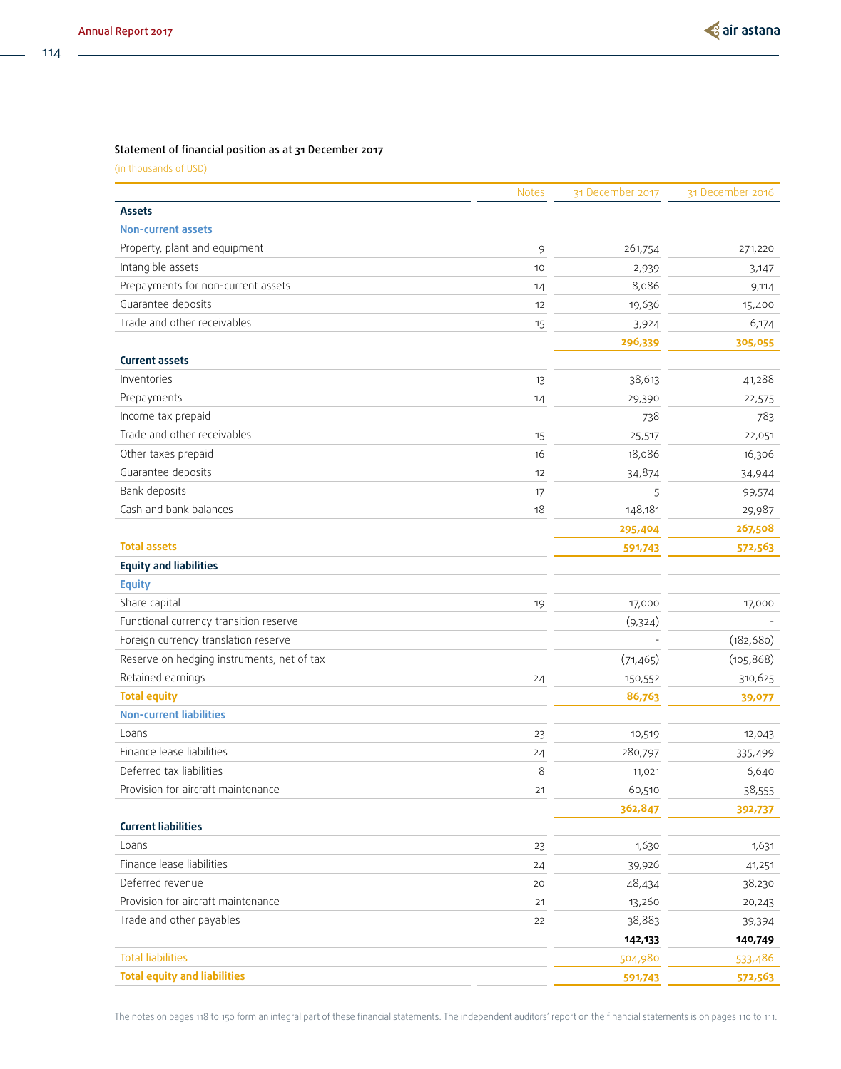### Statement of financial position as at 31 December 2017

(in thousands of USD)

|                                            | <b>Notes</b> | 31 December 2017 | 31 December 2016 |
|--------------------------------------------|--------------|------------------|------------------|
| <b>Assets</b>                              |              |                  |                  |
| <b>Non-current assets</b>                  |              |                  |                  |
| Property, plant and equipment              | 9            | 261,754          | 271,220          |
| Intangible assets                          | 10           | 2,939            | 3,147            |
| Prepayments for non-current assets         | 14           | 8,086            | 9,114            |
| Guarantee deposits                         | 12           | 19,636           | 15,400           |
| Trade and other receivables                | 15           | 3,924            | 6,174            |
|                                            |              | 296,339          | 305,055          |
| <b>Current assets</b>                      |              |                  |                  |
| Inventories                                | 13           | 38,613           | 41,288           |
| Prepayments                                | 14           | 29,390           | 22,575           |
| Income tax prepaid                         |              | 738              | 783              |
| Trade and other receivables                | 15           | 25,517           | 22,051           |
| Other taxes prepaid                        | 16           | 18,086           | 16,306           |
| Guarantee deposits                         | 12           | 34,874           | 34,944           |
| Bank deposits                              | 17           | 5                | 99,574           |
| Cash and bank balances                     | 18           | 148,181          | 29,987           |
|                                            |              | 295,404          | 267,508          |
| <b>Total assets</b>                        |              | 591,743          | 572,563          |
| <b>Equity and liabilities</b>              |              |                  |                  |
| <b>Equity</b>                              |              |                  |                  |
| Share capital                              | 19           | 17,000           | 17,000           |
| Functional currency transition reserve     |              | (9,324)          |                  |
| Foreign currency translation reserve       |              |                  | (182, 680)       |
| Reserve on hedging instruments, net of tax |              | (71, 465)        | (105, 868)       |
| Retained earnings                          | 24           | 150,552          | 310,625          |
| <b>Total equity</b>                        |              | 86,763           | 39,077           |
| <b>Non-current liabilities</b>             |              |                  |                  |
| Loans                                      | 23           | 10,519           | 12,043           |
| Finance lease liabilities                  | 24           | 280,797          | 335,499          |
| Deferred tax liabilities                   | 8            | 11,021           | 6,640            |
| Provision for aircraft maintenance         | 21           | 60,510           | 38,555           |
|                                            |              | 362,847          | 392,737          |
| <b>Current liabilities</b>                 |              |                  |                  |
| Loans                                      | 23           | 1,630            | 1,631            |
| Finance lease liabilities                  | 24           | 39,926           | 41,251           |
| Deferred revenue                           | 20           | 48,434           | 38,230           |
| Provision for aircraft maintenance         | 21           | 13,260           | 20,243           |
| Trade and other payables                   | 22           | 38,883           | 39,394           |
|                                            |              | 142,133          | 140,749          |
| <b>Total liabilities</b>                   |              | 504,980          | 533,486          |
| <b>Total equity and liabilities</b>        |              | 591,743          | 572,563          |

114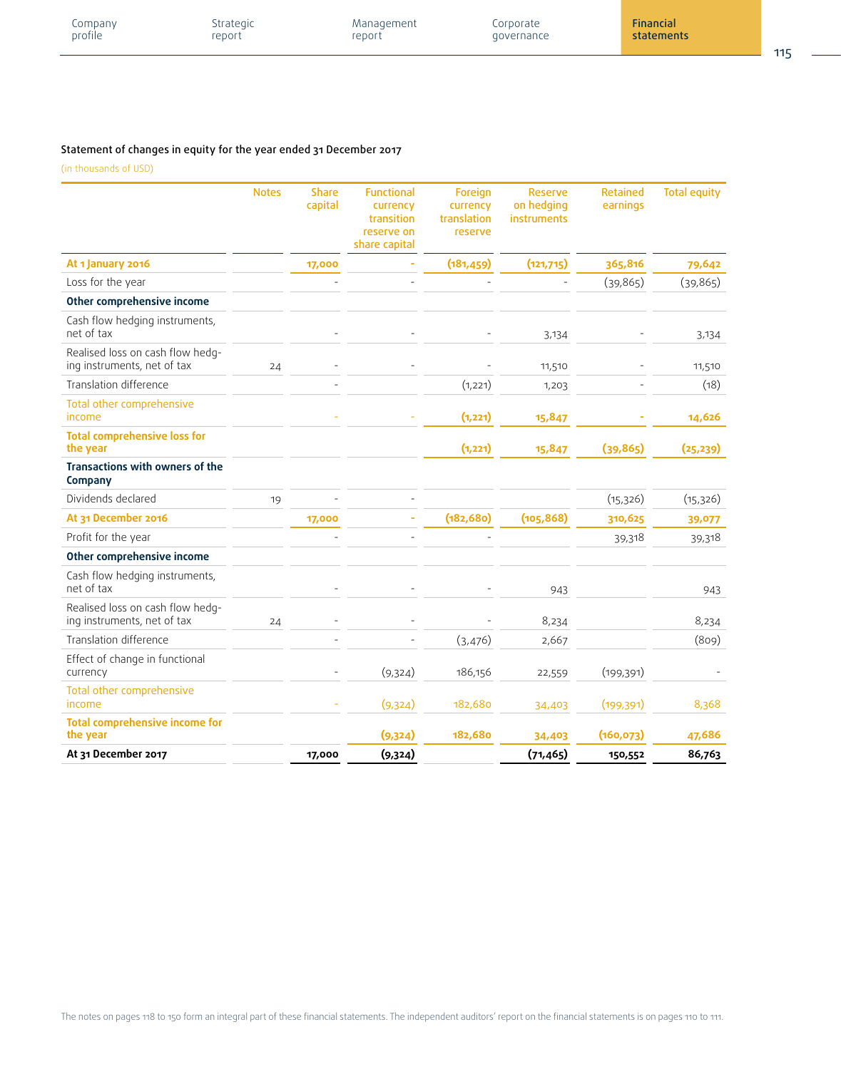| <b>Financial</b><br>Strategic<br>Corporate<br>Management<br>company<br>profile<br>report<br>statements<br>report<br>governance | 115<br>$\sim$ |
|--------------------------------------------------------------------------------------------------------------------------------|---------------|
|--------------------------------------------------------------------------------------------------------------------------------|---------------|

# Statement of changes in equity for the year ended 31 December 2017

|                                                                 | <b>Notes</b> | <b>Share</b><br>capital | <b>Functional</b><br>currency<br>transition<br>reserve on<br>share capital | Foreign<br>currency<br>translation<br>reserve | <b>Reserve</b><br>on hedging<br>instruments | <b>Retained</b><br>earnings | <b>Total equity</b> |
|-----------------------------------------------------------------|--------------|-------------------------|----------------------------------------------------------------------------|-----------------------------------------------|---------------------------------------------|-----------------------------|---------------------|
| At 1 January 2016                                               |              | 17,000                  |                                                                            | (181, 459)                                    | (121, 715)                                  | 365,816                     | 79,642              |
| Loss for the year                                               |              |                         |                                                                            |                                               |                                             | (39, 865)                   | (39, 865)           |
| Other comprehensive income                                      |              |                         |                                                                            |                                               |                                             |                             |                     |
| Cash flow hedging instruments,<br>net of tax                    |              |                         |                                                                            |                                               | 3,134                                       |                             | 3,134               |
| Realised loss on cash flow hedg-<br>ing instruments, net of tax | 24           |                         |                                                                            |                                               | 11,510                                      |                             | 11,510              |
| Translation difference                                          |              |                         |                                                                            | (1,221)                                       | 1,203                                       |                             | (18)                |
| Total other comprehensive<br>income                             |              |                         |                                                                            | (1, 221)                                      | 15,847                                      |                             | 14,626              |
| <b>Total comprehensive loss for</b><br>the year                 |              |                         |                                                                            | (1, 221)                                      | 15,847                                      | (39, 865)                   | (25, 239)           |
| Transactions with owners of the<br>Company                      |              |                         |                                                                            |                                               |                                             |                             |                     |
| Dividends declared                                              | 19           |                         |                                                                            |                                               |                                             | (15, 326)                   | (15, 326)           |
| At 31 December 2016                                             |              | 17,000                  |                                                                            | (182, 680)                                    | (105, 868)                                  | 310,625                     | 39,077              |
| Profit for the year                                             |              |                         |                                                                            |                                               |                                             | 39,318                      | 39,318              |
| Other comprehensive income                                      |              |                         |                                                                            |                                               |                                             |                             |                     |
| Cash flow hedging instruments,<br>net of tax                    |              |                         |                                                                            |                                               | 943                                         |                             | 943                 |
| Realised loss on cash flow hedg-<br>ing instruments, net of tax | 24           |                         |                                                                            |                                               | 8,234                                       |                             | 8,234               |
| Translation difference                                          |              |                         |                                                                            | (3,476)                                       | 2,667                                       |                             | (809)               |
| Effect of change in functional<br>currency                      |              |                         | (9,324)                                                                    | 186,156                                       | 22,559                                      | (199, 391)                  |                     |
| Total other comprehensive<br>income                             |              |                         | (9,324)                                                                    | 182,680                                       | 34,403                                      | (199, 391)                  | 8,368               |
| <b>Total comprehensive income for</b><br>the year               |              |                         | (9,324)                                                                    | 182,680                                       | 34,403                                      | (160, 073)                  | 47,686              |
| At 31 December 2017                                             |              | 17,000                  | (9,324)                                                                    |                                               | (71, 465)                                   | 150,552                     | 86,763              |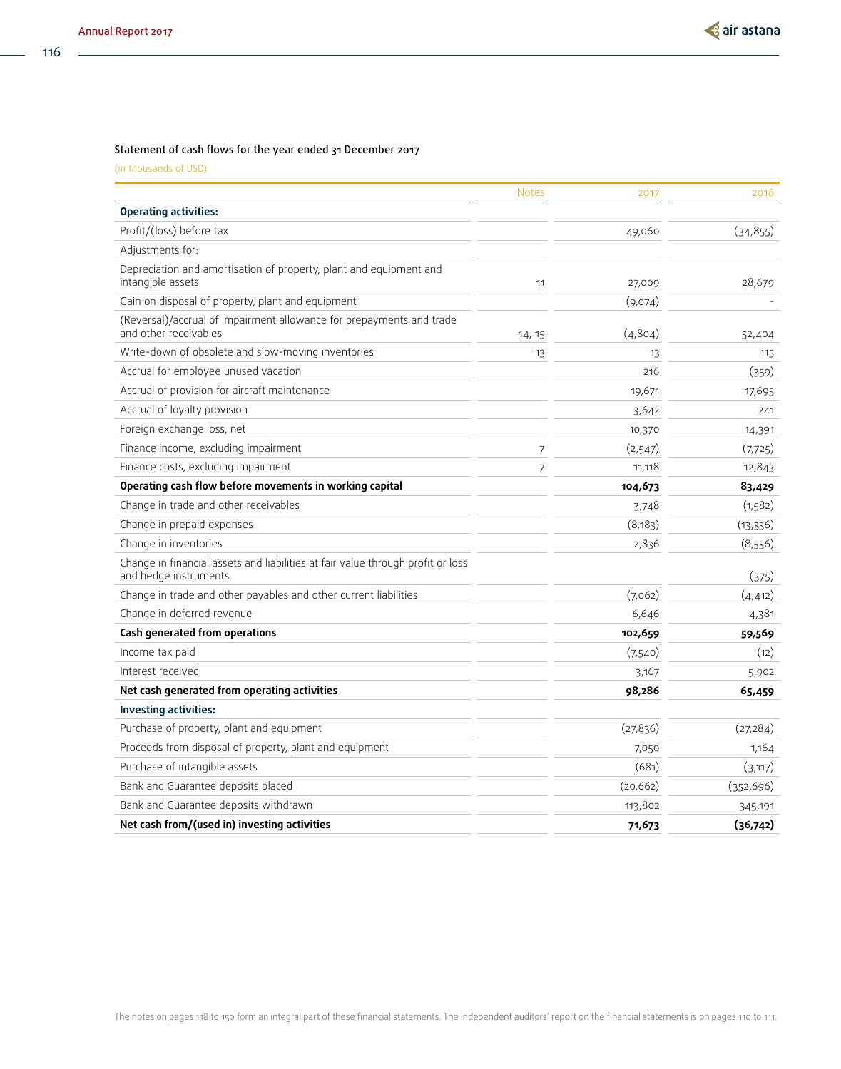116

### Statement of cash flows for the year ended 31 December 2017

|                                                                                                          | <b>Notes</b> | 2017      | 2016      |
|----------------------------------------------------------------------------------------------------------|--------------|-----------|-----------|
| <b>Operating activities:</b>                                                                             |              |           |           |
| Profit/(loss) before tax                                                                                 |              | 49,060    | (34, 855) |
| Adjustments for:                                                                                         |              |           |           |
| Depreciation and amortisation of property, plant and equipment and<br>intangible assets                  | 11           | 27,009    | 28,679    |
| Gain on disposal of property, plant and equipment                                                        |              | (9,074)   |           |
| (Reversal)/accrual of impairment allowance for prepayments and trade<br>and other receivables            | 14, 15       | (4,804)   | 52,404    |
| Write-down of obsolete and slow-moving inventories                                                       | 13           | 13        | 115       |
| Accrual for employee unused vacation                                                                     |              | 216       | (359)     |
| Accrual of provision for aircraft maintenance                                                            |              | 19,671    | 17,695    |
| Accrual of loyalty provision                                                                             |              | 3,642     | 241       |
| Foreign exchange loss, net                                                                               |              | 10,370    | 14,391    |
| Finance income, excluding impairment                                                                     | 7            | (2,547)   | (7,725)   |
| Finance costs, excluding impairment                                                                      | 7            | 11,118    | 12,843    |
| Operating cash flow before movements in working capital                                                  |              | 104,673   | 83,429    |
| Change in trade and other receivables                                                                    |              | 3,748     | (1,582)   |
| Change in prepaid expenses                                                                               |              | (8,183)   | (13,336)  |
| Change in inventories                                                                                    |              | 2,836     | (8,536)   |
| Change in financial assets and liabilities at fair value through profit or loss<br>and hedge instruments |              |           | (375)     |
| Change in trade and other payables and other current liabilities                                         |              | (7,062)   | (4, 412)  |
| Change in deferred revenue                                                                               |              | 6,646     | 4,381     |
| Cash generated from operations                                                                           |              | 102,659   | 59,569    |
| Income tax paid                                                                                          |              | (7,540)   | (12)      |
| Interest received                                                                                        |              | 3,167     | 5,902     |
| Net cash generated from operating activities                                                             |              | 98,286    | 65,459    |
| <b>Investing activities:</b>                                                                             |              |           |           |
| Purchase of property, plant and equipment                                                                |              | (27, 836) | (27, 284) |
| Proceeds from disposal of property, plant and equipment                                                  |              | 7,050     | 1,164     |
| Purchase of intangible assets                                                                            |              | (681)     | (3,117)   |
| Bank and Guarantee deposits placed                                                                       |              | (20, 662) | (352,696) |
| Bank and Guarantee deposits withdrawn                                                                    |              | 113,802   | 345,191   |
| Net cash from/(used in) investing activities                                                             |              | 71,673    | (36,742)  |